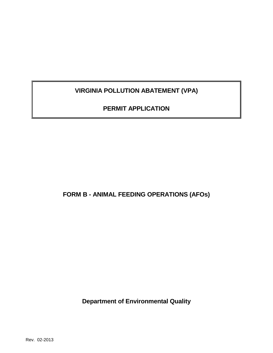**VIRGINIA POLLUTION ABATEMENT (VPA)**

**PERMIT APPLICATION**

**FORM B - ANIMAL FEEDING OPERATIONS (AFOs)**

**Department of Environmental Quality**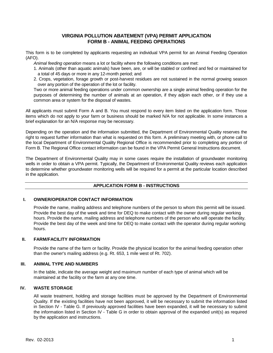## **VIRGINIA POLLUTION ABATEMENT (VPA) PERMIT APPLICATION FORM B - ANIMAL FEEDING OPERATIONS**

This form is to be completed by applicants requesting an individual VPA permit for an Animal Feeding Operation (AFO).

*Animal feeding operation* means a lot or facility where the following conditions are met:

- 1. Animals (other than aquatic animals) have been, are, or will be stabled or confined and fed or maintained for a total of 45 days or more in any 12-month period; and
- 2. Crops, vegetation, forage growth or post-harvest residues are not sustained in the normal growing season over any portion of the operation of the lot or facility.

Two or more animal feeding operations under common ownership are a single animal feeding operation for the purposes of determining the number of animals at an operation, if they adjoin each other, or if they use a common area or system for the disposal of wastes.

All applicants must submit Form A and B. You must respond to every item listed on the application form. Those items which do not apply to your farm or business should be marked N/A for not applicable. In some instances a brief explanation for an N/A response may be necessary.

Depending on the operation and the information submitted, the Department of Environmental Quality reserves the right to request further information than what is requested on this form. A preliminary meeting with, or phone call to the local Department of Environmental Quality Regional Office is recommended prior to completing any portion of Form B. The Regional Office contact information can be found in the VPA Permit General Instructions document.

The Department of Environmental Quality may in some cases require the installation of groundwater monitoring wells in order to obtain a VPA permit. Typically, the Department of Environmental Quality reviews each application to determine whether groundwater monitoring wells will be required for a permit at the particular location described in the application.

## **APPLICATION FORM B - INSTRUCTIONS**

## **I. OWNER/OPERATOR CONTACT INFORMATION**

Provide the name, mailing address and telephone numbers of the person to whom this permit will be issued. Provide the best day of the week and time for DEQ to make contact with the owner during regular working hours. Provide the name, mailing address and telephone numbers of the person who will operate the facility. Provide the best day of the week and time for DEQ to make contact with the operator during regular working hours.

## **II. FARM/FACILITY INFORMATION**

Provide the name of the farm or facility. Provide the physical location for the animal feeding operation other than the owner's mailing address (e.g. Rt. 653, 1 mile west of Rt. 702).

#### **III. ANIMAL TYPE AND NUMBERS**

In the table, indicate the average weight and maximum number of each type of animal which will be maintained at the facility or the farm at any one time.

## **IV. WASTE STORAGE**

All waste treatment, holding and storage facilities must be approved by the Department of Environmental Quality. If the existing facilities have not been approved, it will be necessary to submit the information listed in Section IV - Table G. If previously approved facilities have been expanded, it will be necessary to submit the information listed in Section IV - Table G in order to obtain approval of the expanded unit(s) as required by the application and instructions.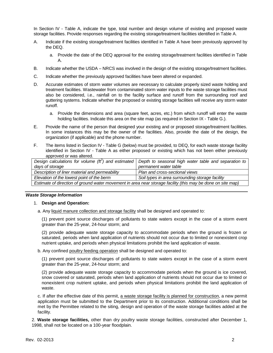In Section IV - Table A, indicate the type, total number and design volume of existing and proposed waste storage facilities. Provide responses regarding the existing storage/treatment facilities identified in Table A.

- A. Indicate if the existing storage/treatment facilities identified in Table A have been previously approved by the DEQ.
	- a. Provide the date of the DEQ approval for the existing storage/treatment facilities identified in Table A.
- B. Indicate whether the USDA NRCS was involved in the design of the existing storage/treatment facilities.
- C. Indicate whether the previously approved facilities have been altered or expanded.
- D. Accurate estimates of storm water volumes are necessary to calculate properly sized waste holding and treatment facilities. Wastewater from contaminated storm water inputs to the waste storage facilities must also be considered, i.e., rainfall on to the facility surface and runoff from the surrounding roof and guttering systems. Indicate whether the proposed or existing storage facilities will receive any storm water runoff.
	- a. Provide the dimensions and area (square feet, acres, etc.) from which runoff will enter the waste holding facilities. Indicate this area on the site map (as required in Section IX - Table G.).
- E. Provide the name of the person that designed your existing and or proposed storage/treatment facilities. In some instances this may be the owner of the facilities. Also, provide the date of the design, the organization (if applicable) and the phone number.
- F. The items listed in Section IV Table G (below) must be provided, to DEQ, for each waste storage facility identified in Section IV - Table A as either proposed or existing which has not been either previously approved or was altered.

|                                                                                                             | Design calculations for volume ( $t\bar{t}^3$ ) and estimated Depth to seasonal high water table and separation to |  |
|-------------------------------------------------------------------------------------------------------------|--------------------------------------------------------------------------------------------------------------------|--|
| days of storage                                                                                             | permanent water table                                                                                              |  |
| Description of liner material and permeability                                                              | Plan and cross-sectional views                                                                                     |  |
| Soil types in area surrounding storage facility<br>Elevation of the lowest point of the berm                |                                                                                                                    |  |
| Estimate of direction of ground water movement in area near storage facility (this may be done on site map) |                                                                                                                    |  |

#### *Waste Storage Information*

#### 1. **Design and Operation:**

a. Any liquid manure collection and storage facility shall be designed and operated to:

(1) prevent point source discharges of pollutants to state waters except in the case of a storm event greater than the 25-year, 24-hour storm; and

(2) provide adequate waste storage capacity to accommodate periods when the ground is frozen or saturated, periods when land application of nutrients should not occur due to limited or nonexistent crop nutrient uptake, and periods when physical limitations prohibit the land application of waste.

b. Any confined poultry feeding operation shall be designed and operated to:

(1) prevent point source discharges of pollutants to state waters except in the case of a storm event greater than the 25-year, 24-hour storm; and

(2) provide adequate waste storage capacity to accommodate periods when the ground is ice covered, snow covered or saturated, periods when land application of nutrients should not occur due to limited or nonexistent crop nutrient uptake, and periods when physical limitations prohibit the land application of waste.

c. If after the effective date of this permit, a waste storage facility is planned for construction, a new permit application must be submitted to the Department prior to its construction. Additional conditions shall be met by the Permittee related to the siting, design and operation of the waste storage facilities added at the facility.

2. **Waste storage facilities,** other than dry poultry waste storage facilities, constructed after December 1, 1998, shall not be located on a 100-year floodplain.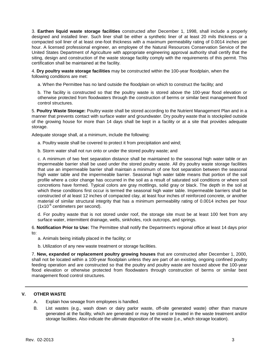3. **Earthen liquid waste storage facilities** constructed after December 1, 1998, shall include a properly designed and installed liner. Such liner shall be either a synthetic liner of at least 20 mils thickness or a compacted soil liner of at least one-foot thickness with a maximum permeability rating of 0.0014 inches per hour. A licensed professional engineer, an employee of the Natural Resources Conservation Service of the United States Department of Agriculture with appropriate engineering approval authority shall certify that the siting, design and construction of the waste storage facility comply with the requirements of this permit. This certification shall be maintained at the facility.

4. **Dry poultry waste storage facilities** may be constructed within the 100-year floodplain, when the following conditions are met:

a. When the Permittee has no land outside the floodplain on which to construct the facility; and

b. The facility is constructed so that the poultry waste is stored above the 100-year flood elevation or otherwise protected from floodwaters through the construction of berms or similar best management flood control structures.

5. **Poultry Waste Storage:** Poultry waste shall be stored according to the Nutrient Management Plan and in a manner that prevents contact with surface water and groundwater. Dry poultry waste that is stockpiled outside of the growing house for more than 14 days shall be kept in a facility or at a site that provides adequate storage.

Adequate storage shall, at a minimum, include the following:

a. Poultry waste shall be covered to protect it from precipitation and wind;

b. Storm water shall not run onto or under the stored poultry waste; and

c. A minimum of two feet separation distance shall be maintained to the seasonal high water table or an impermeable barrier shall be used under the stored poultry waste. All dry poultry waste storage facilities that use an impermeable barrier shall maintain a minimum of one foot separation between the seasonal high water table and the impermeable barrier. Seasonal high water table means that portion of the soil profile where a color change has occurred in the soil as a result of saturated soil conditions or where soil concretions have formed. Typical colors are gray mottlings, solid gray or black. The depth in the soil at which these conditions first occur is termed the seasonal high water table. Impermeable barriers shall be constructed of at least 12 inches of compacted clay, at least four inches of reinforced concrete, or another material of similar structural integrity that has a minimum permeability rating of 0.0014 inches per hour  $(1x10^{-6}$  centimeters per second).

d. For poultry waste that is not stored under roof, the storage site must be at least 100 feet from any surface water, intermittent drainage, wells, sinkholes, rock outcrops, and springs.

6. **Notification Prior to Use:** The Permittee shall notify the Department's regional office at least 14 days prior to:

a. Animals being initially placed in the facility; or

b. Utilization of any new waste treatment or storage facilities.

7. **New, expanded or replacement poultry growing houses** that are constructed after December 1, 2000, shall not be located within a 100-year floodplain unless they are part of an existing, ongoing confined poultry feeding operation and are constructed so that the poultry and poultry waste are housed above the 100-year flood elevation or otherwise protected from floodwaters through construction of berms or similar best management flood control structures.

## **V. OTHER WASTE**

A. Explain how sewage from employees is handled.

B. List wastes (e.g., wash down or dairy parlor waste, off-site generated waste) other than manure generated at the facility, which are generated or may be stored or treated in the waste treatment and/or storage facilities. Also indicate the ultimate disposition of the waste (i.e., which storage location).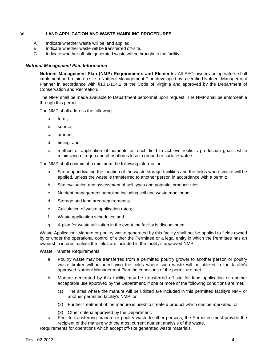#### **VI. LAND APPLICATION AND WASTE HANDLING PROCEDURES**

- A. Indicate whether waste will be land applied.
- B. Indicate whether waste will be transferred off-site.
- C. Indicate whether off-site generated waste will be brought to the facility.

#### *Nutrient Management Plan Information*

**Nutrient Management Plan (NMP) Requirements and Elements:** All AFO owners or operators shall implement and retain on site a Nutrient Management Plan developed by a certified Nutrient Management Planner in accordance with §10.1-104.2 of the Code of Virginia and approved by the Department of Conservation and Recreation.

The NMP shall be made available to Department personnel upon request. The NMP shall be enforceable through this permit.

The NMP shall address the following:

- a. form,
- b. source,
- c. amount,
- d. timing, and
- e. method of application of nutrients on each field to achieve realistic production goals, while minimizing nitrogen and phosphorus loss to ground or surface waters.

The NMP shall contain at a minimum the following information:

- a. Site map indicating the location of the waste storage facilities and the fields where waste will be applied, unless the waste is transferred to another person in accordance with a permit;
- b. Site evaluation and assessment of soil types and potential productivities;
- c. Nutrient management sampling including soil and waste monitoring;
- d. Storage and land area requirements;
- e. Calculation of waste application rates;
- f. Waste application schedules; and
- g. A plan for waste utilization in the event the facility is discontinued.

Waste Application: Manure or poultry waste generated by this facility shall not be applied to fields owned by or under the operational control of either the Permittee or a legal entity in which the Permittee has an ownership interest unless the fields are included in the facility's approved NMP.

Waste Transfer Requirements:

- a. Poultry waste may be transferred from a permitted poultry grower to another person or poultry waste broker without identifying the fields where such waste will be utilized in the facility's approved Nutrient Management Plan the conditions of the permit are met.
- b. Manure generated by this facility may be transferred off-site for land application or another acceptable use approved by the Department, if one or more of the following conditions are met:
	- (1) The sites where the manure will be utilized are included in this permitted facility's NMP or another permitted facility's NMP; or
	- (2) Further treatment of the manure is used to create a product which can be marketed; or
	- (3) Other criteria approved by the Department.
- c. Prior to transferring manure or poultry waste to other persons, the Permittee must provide the recipient of the manure with the most current nutrient analysis of the waste.

Requirements for operations which accept off-site generated waste materials.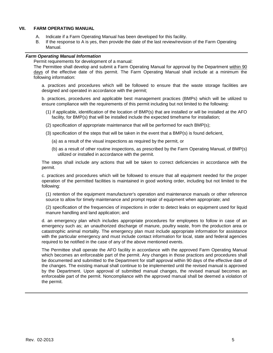#### **VII. FARM OPERATING MANUAL**

- A. Indicate if a Farm Operating Manual has been developed for this facility.
- B. If the response to A is yes, then provide the date of the last review/revision of the Farm Operating Manual.

## *Farm Operating Manual Information*

Permit requirements for development of a manual:

The Permittee shall develop and submit a Farm Operating Manual for approval by the Department within 90 days of the effective date of this permit. The Farm Operating Manual shall include at a minimum the following information:

a. practices and procedures which will be followed to ensure that the waste storage facilities are designed and operated in accordance with the permit;

b. practices, procedures and applicable best management practices (BMPs) which will be utilized to ensure compliance with the requirements of this permit including but not limited to the following:

- (1) if applicable, identification of the location of BMP(s) that are installed or will be installed at the AFO facility, for BMP(s) that will be installed include the expected timeframe for installation;
- (2) specification of appropriate maintenance that will be performed for each BMP(s);
- (3) specification of the steps that will be taken in the event that a BMP(s) is found deficient,
	- (a) as a result of the visual inspections as required by the permit, or
	- (b) as a result of other routine inspections, as prescribed by the Farm Operating Manual, of BMP(s) utilized or installed in accordance with the permit.

The steps shall include any actions that will be taken to correct deficiencies in accordance with the permit.

c. practices and procedures which will be followed to ensure that all equipment needed for the proper operation of the permitted facilities is maintained in good working order, including but not limited to the following:

(1) retention of the equipment manufacturer's operation and maintenance manuals or other reference source to allow for timely maintenance and prompt repair of equipment when appropriate; and

(2) specification of the frequencies of inspections in order to detect leaks on equipment used for liquid manure handling and land application; and

d. an emergency plan which includes appropriate procedures for employees to follow in case of an emergency such as; an unauthorized discharge of manure, poultry waste, from the production area or catastrophic animal mortality. The emergency plan must include appropriate information for assistance with the particular emergency and must include contact information for local, state and federal agencies required to be notified in the case of any of the above mentioned events.

The Permittee shall operate the AFO facility in accordance with the approved Farm Operating Manual which becomes an enforceable part of the permit. Any changes in those practices and procedures shall be documented and submitted to the Department for staff approval within 90 days of the effective date of the changes. The existing manual shall continue to be implemented until the revised manual is approved by the Department. Upon approval of submitted manual changes, the revised manual becomes an enforceable part of the permit. Noncompliance with the approved manual shall be deemed a violation of the permit.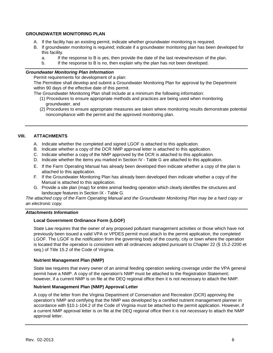#### **GROUNDWATER MONITORING PLAN**

- A. If the facility has an existing permit, indicate whether groundwater monitoring is required.
- B. If groundwater monitoring is required; indicate if a groundwater monitoring plan has been developed for this facility.
	- a. If the response to B is yes, then provide the date of the last review/revision of the plan.
	- b. If the response to B is no, then explain why the plan has not been developed.

#### *Groundwater Monitoring Plan Information*

Permit requirements for development of a plan:

The Permittee shall develop and submit a Groundwater Monitoring Plan for approval by the Department within 90 days of the effective date of this permit.

The Groundwater Monitoring Plan shall include at a minimum the following information:

- (1) Procedures to ensure appropriate methods and practices are being used when monitoring groundwater, and
- (2) Procedures to ensure appropriate measures are taken where monitoring results demonstrate potential noncompliance with the permit and the approved monitoring plan.

### **VIII. ATTACHMENTS**

- A. Indicate whether the completed and signed LGOF is attached to this application.
- B. Indicate whether a copy of the DCR NMP approval letter is attached to this application.
- C. Indicate whether a copy of the NMP approved by the DCR is attached to this application.
- D. Indicate whether the items you marked in Section IV Table G are attached to this application.
- E. If the Farm Operating Manual has already been developed then indicate whether a copy of the plan is attached to this application.
- F. If the Groundwater Monitoring Plan has already been developed then indicate whether a copy of the Manual is attached to this application.
- G. Provide a site plan (map) for entire animal feeding operation which clearly identifies the structures and landscape features in Section IX - Table G*.*

*The attached copy of the Farm Operating Manual and the Groundwater Monitoring Plan may be a hard copy or an electronic copy.*

#### *Attachments Information*

## **Local Government Ordinance Form (LGOF)**

State Law requires that the owner of any proposed pollutant management activities or those which have not previously been issued a valid VPA or VPDES permit must attach to the permit application, the completed LGOF. The LGOF is the notification from the governing body of the county, city or town where the operation is located that the operation is consistent with all ordinances adopted pursuant to Chapter 22 (§ 15.2-2200 et seq.) of Title 15.2 of the Code of Virginia.

#### **Nutrient Management Plan (NMP)**

State law requires that every owner of an animal feeding operation seeking coverage under the VPA general permit have a NMP. A copy of the operation's NMP must be attached to the Registration Statement; however, if a current NMP is on file at the DEQ regional office then it is not necessary to attach the NMP.

#### **Nutrient Management Plan (NMP) Approval Letter**

A copy of the letter from the Virginia Department of Conservation and Recreation (DCR) approving the operation's NMP and certifying that the NMP was developed by a certified nutrient management planner in accordance with §10.1-104.2 of the Code of Virginia must be attached to the permit application. However, if a current NMP approval letter is on file at the DEQ regional office then it is not necessary to attach the NMP approval letter.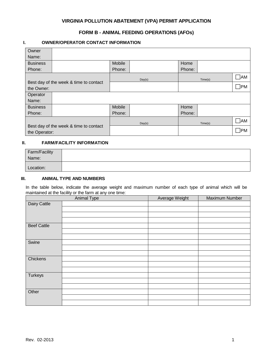# **VIRGINIA POLLUTION ABATEMENT (VPA) PERMIT APPLICATION**

# **FORM B - ANIMAL FEEDING OPERATIONS (AFOs)**

## **I. OWNER/OPERATOR CONTACT INFORMATION**

| Owner           |                                        |        |        |        |         |              |
|-----------------|----------------------------------------|--------|--------|--------|---------|--------------|
| Name:           |                                        |        |        |        |         |              |
| <b>Business</b> |                                        | Mobile |        | Home   |         |              |
| Phone:          |                                        | Phone: |        | Phone: |         |              |
|                 |                                        |        | Day(s) |        | Time(s) | $\neg$ AM    |
| the Owner:      | Best day of the week & time to contact |        |        |        |         | $\square$ PM |
| Operator        |                                        |        |        |        |         |              |
| Name:           |                                        |        |        |        |         |              |
| <b>Business</b> |                                        | Mobile |        | Home   |         |              |
| Phone:          |                                        | Phone: |        | Phone: |         |              |
|                 |                                        |        | Day(s) |        | Time(s) | ∏AM          |
| the Operator:   | Best day of the week & time to contact |        |        |        |         | ן PM         |

## **II. FARM/FACILITY INFORMATION**

| Farm/Facility |  |
|---------------|--|
| Name:         |  |
| Location:     |  |

## **III. ANIMAL TYPE AND NUMBERS**

In the table below, indicate the average weight and maximum number of each type of animal which will be maintained at the facility or the farm at any one time:

|                    | Animal Type | Average Weight | Maximum Number |
|--------------------|-------------|----------------|----------------|
| Dairy Cattle       |             |                |                |
|                    |             |                |                |
|                    |             |                |                |
|                    |             |                |                |
| <b>Beef Cattle</b> |             |                |                |
|                    |             |                |                |
|                    |             |                |                |
| Swine              |             |                |                |
|                    |             |                |                |
|                    |             |                |                |
| Chickens           |             |                |                |
|                    |             |                |                |
|                    |             |                |                |
| <b>Turkeys</b>     |             |                |                |
|                    |             |                |                |
|                    |             |                |                |
| Other              |             |                |                |
|                    |             |                |                |
|                    |             |                |                |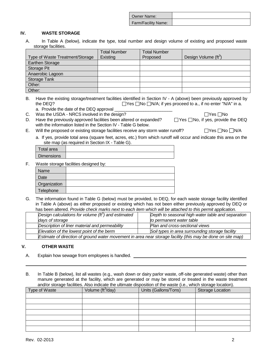| Owner Name:         |  |
|---------------------|--|
| Farm/Facility Name: |  |

## **IV. WASTE STORAGE**

A. In Table A (below), indicate the type, total number and design volume of existing and proposed waste storage facilities.

|                                 | <b>Total Number</b> | <b>Total Number</b> |                                  |
|---------------------------------|---------------------|---------------------|----------------------------------|
| Type of Waste Treatment/Storage | Existing            | Proposed            | Design Volume (ft <sup>3</sup> ) |
| Earthen Storage                 |                     |                     |                                  |
| Storage Pit                     |                     |                     |                                  |
| Anaerobic Lagoon                |                     |                     |                                  |
| Storage Tank                    |                     |                     |                                  |
| Other:                          |                     |                     |                                  |
| Other:                          |                     |                     |                                  |

B. Have the existing storage/treatment facilities identified in Section IV - A (above) been previously approved by the DEQ?  $\Box$  Yes  $\Box$  No  $\Box$  N/A; if yes proceed to a., if no enter "N/A" in a.

a. Provide the date of the DEQ approval

- C. Was the USDA NRCS involved in the design?<br>D. Have the previously approved facilities been altered or expanded?  $\Box$  Yes  $\Box$  No. if ves. provide Have the previously approved facilities been altered or expanded?  $\Box$  Yes  $\Box$  No, if yes, provide the DEQ with the information listed in the Section IV - Table G below.
- E. Will the proposed or existing storage facilities receive any storm water runoff?  $\Box$  Yes  $\Box$  No  $\Box$  N/A
	- a. If yes, provide total area (square feet, acres, etc.) from which runoff will occur and indicate this area on the site map (as required in Section IX - Table G).

| Total area |  |
|------------|--|
| Dimensions |  |
|            |  |

F. Waste storage facilities designed by:

| Name         |  |
|--------------|--|
| Date         |  |
| Organization |  |
| Telephone    |  |

G. The information found in Table G (below) must be provided, to DEQ, for each waste storage facility identified in Table A (above) as either proposed or existing which has not been either previously approved by DEQ or has been altered. *Provide check marks next to each item which will be attached to this permit application.* 

| Design calculations for volume $(tf3)$ and estimated                                                        | Depth to seasonal high water table and separation |
|-------------------------------------------------------------------------------------------------------------|---------------------------------------------------|
| days of storage                                                                                             | to permanent water table                          |
| Description of liner material and permeability                                                              | Plan and cross-sectional views                    |
| Elevation of the lowest point of the berm<br>Soil types in area surrounding storage facility                |                                                   |
| Estimate of direction of ground water movement in area near storage facility (this may be done on site map) |                                                   |

## **V. OTHER WASTE**

A. Explain how sewage from employees is handled.

B. In Table B (below), list all wastes (e.g., wash down or dairy parlor waste, off-site generated waste) other than manure generated at the facility, which are generated or may be stored or treated in the waste treatment and/or storage facilities. Also indicate the ultimate disposition of the waste (i.e., which storage location).

| Type of Waste | Volume $(\text{ft}^3/\text{day})$ | Units (Gallons/Tons) | Storage Location |
|---------------|-----------------------------------|----------------------|------------------|
|               |                                   |                      |                  |
|               |                                   |                      |                  |
|               |                                   |                      |                  |
|               |                                   |                      |                  |
|               |                                   |                      |                  |
|               |                                   |                      |                  |
|               |                                   |                      |                  |